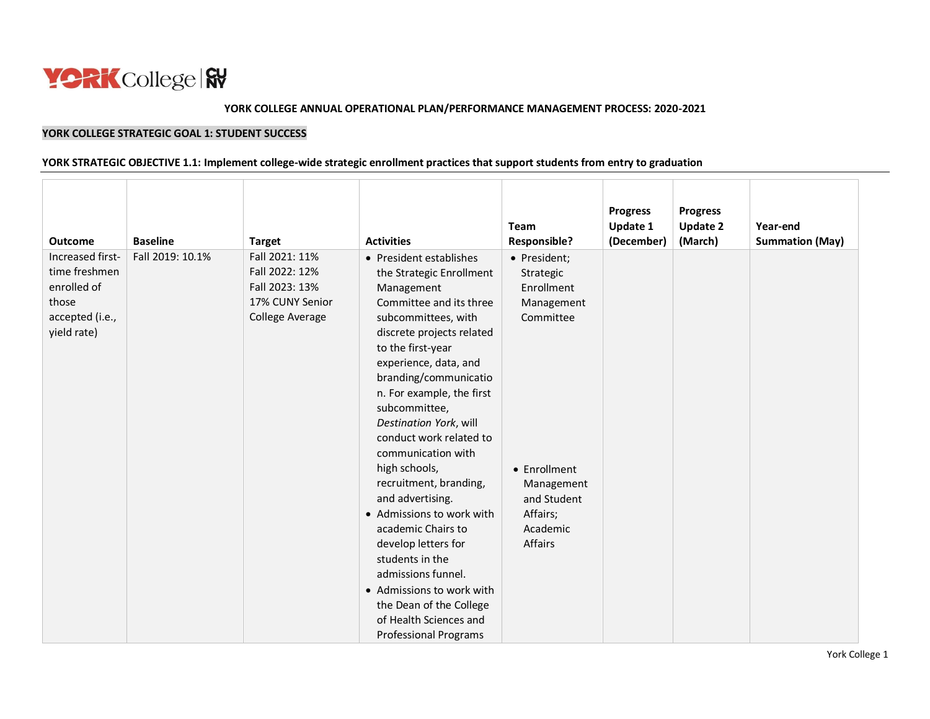

#### **YORK COLLEGE ANNUAL OPERATIONAL PLAN/PERFORMANCE MANAGEMENT PROCESS: 2020-2021**

## **YORK COLLEGE STRATEGIC GOAL 1: STUDENT SUCCESS**

#### **YORK STRATEGIC OBJECTIVE 1.1: Implement college-wide strategic enrollment practices that support students from entry to graduation**

| <b>Outcome</b>                                                                              | <b>Baseline</b>  | <b>Target</b>                                                                            | <b>Activities</b>                                                                                                                                                                                                                                                                                                                                                                                                                                                                                                                                                                          | Team<br><b>Responsible?</b>                                                                                                                        | <b>Progress</b><br>Update 1<br>(December) | <b>Progress</b><br><b>Update 2</b><br>(March) | Year-end<br><b>Summation (May)</b> |
|---------------------------------------------------------------------------------------------|------------------|------------------------------------------------------------------------------------------|--------------------------------------------------------------------------------------------------------------------------------------------------------------------------------------------------------------------------------------------------------------------------------------------------------------------------------------------------------------------------------------------------------------------------------------------------------------------------------------------------------------------------------------------------------------------------------------------|----------------------------------------------------------------------------------------------------------------------------------------------------|-------------------------------------------|-----------------------------------------------|------------------------------------|
| Increased first-<br>time freshmen<br>enrolled of<br>those<br>accepted (i.e.,<br>yield rate) | Fall 2019: 10.1% | Fall 2021: 11%<br>Fall 2022: 12%<br>Fall 2023: 13%<br>17% CUNY Senior<br>College Average | • President establishes<br>the Strategic Enrollment<br>Management<br>Committee and its three<br>subcommittees, with<br>discrete projects related<br>to the first-year<br>experience, data, and<br>branding/communicatio<br>n. For example, the first<br>subcommittee,<br>Destination York, will<br>conduct work related to<br>communication with<br>high schools,<br>recruitment, branding,<br>and advertising.<br>• Admissions to work with<br>academic Chairs to<br>develop letters for<br>students in the<br>admissions funnel.<br>• Admissions to work with<br>the Dean of the College | • President;<br>Strategic<br>Enrollment<br>Management<br>Committee<br>• Enrollment<br>Management<br>and Student<br>Affairs;<br>Academic<br>Affairs |                                           |                                               |                                    |
|                                                                                             |                  |                                                                                          | of Health Sciences and<br><b>Professional Programs</b>                                                                                                                                                                                                                                                                                                                                                                                                                                                                                                                                     |                                                                                                                                                    |                                           |                                               |                                    |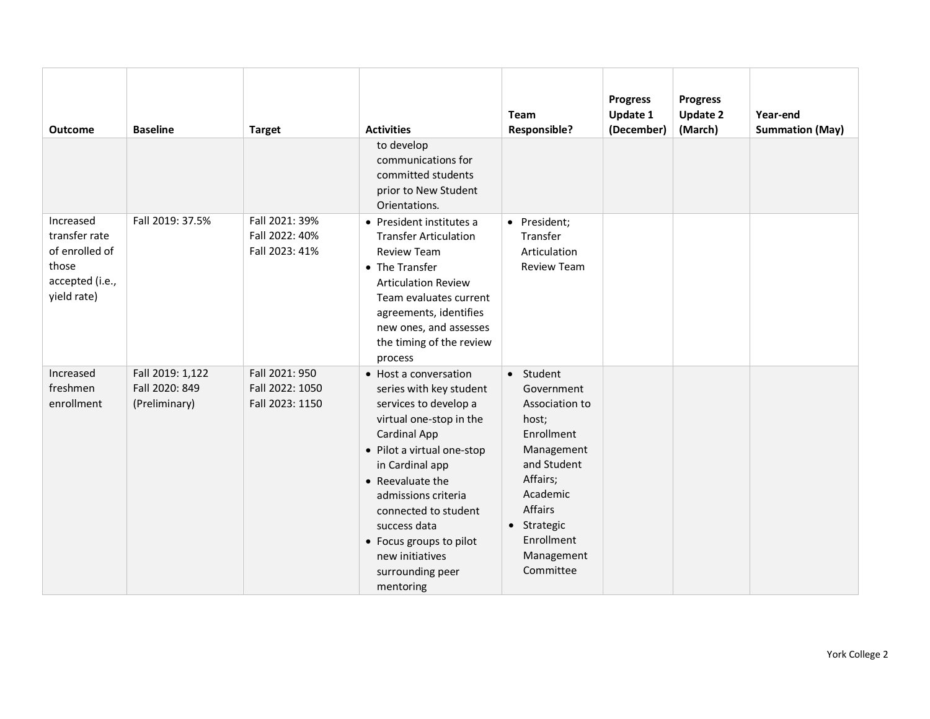| <b>Outcome</b>                                                                          | <b>Baseline</b>                                     | <b>Target</b>                                        | <b>Activities</b>                                                                                                                                                                                                                                                                                                                       | <b>Team</b><br><b>Responsible?</b>                                                                                                                                                       | <b>Progress</b><br><b>Update 1</b><br>(December) | <b>Progress</b><br><b>Update 2</b><br>(March) | Year-end<br><b>Summation (May)</b> |
|-----------------------------------------------------------------------------------------|-----------------------------------------------------|------------------------------------------------------|-----------------------------------------------------------------------------------------------------------------------------------------------------------------------------------------------------------------------------------------------------------------------------------------------------------------------------------------|------------------------------------------------------------------------------------------------------------------------------------------------------------------------------------------|--------------------------------------------------|-----------------------------------------------|------------------------------------|
|                                                                                         |                                                     |                                                      | to develop<br>communications for<br>committed students<br>prior to New Student<br>Orientations.                                                                                                                                                                                                                                         |                                                                                                                                                                                          |                                                  |                                               |                                    |
| Increased<br>transfer rate<br>of enrolled of<br>those<br>accepted (i.e.,<br>yield rate) | Fall 2019: 37.5%                                    | Fall 2021: 39%<br>Fall 2022: 40%<br>Fall 2023: 41%   | • President institutes a<br><b>Transfer Articulation</b><br><b>Review Team</b><br>• The Transfer<br><b>Articulation Review</b><br>Team evaluates current<br>agreements, identifies<br>new ones, and assesses<br>the timing of the review<br>process                                                                                     | • President;<br>Transfer<br>Articulation<br><b>Review Team</b>                                                                                                                           |                                                  |                                               |                                    |
| Increased<br>freshmen<br>enrollment                                                     | Fall 2019: 1,122<br>Fall 2020: 849<br>(Preliminary) | Fall 2021: 950<br>Fall 2022: 1050<br>Fall 2023: 1150 | • Host a conversation<br>series with key student<br>services to develop a<br>virtual one-stop in the<br>Cardinal App<br>• Pilot a virtual one-stop<br>in Cardinal app<br>• Reevaluate the<br>admissions criteria<br>connected to student<br>success data<br>• Focus groups to pilot<br>new initiatives<br>surrounding peer<br>mentoring | • Student<br>Government<br>Association to<br>host;<br>Enrollment<br>Management<br>and Student<br>Affairs;<br>Academic<br>Affairs<br>• Strategic<br>Enrollment<br>Management<br>Committee |                                                  |                                               |                                    |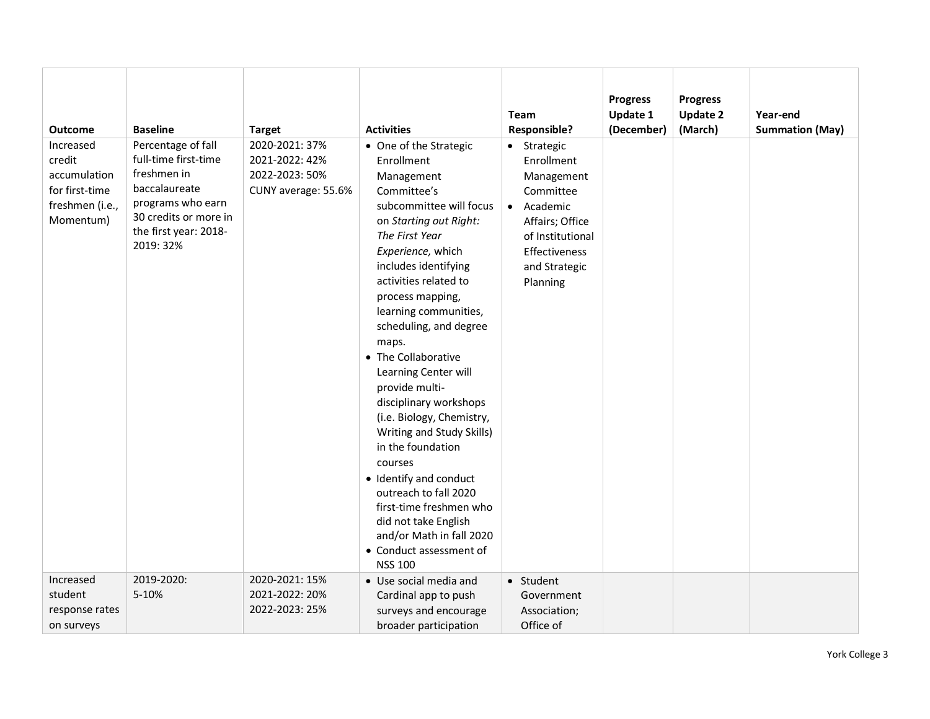| <b>Outcome</b><br>Increased<br>credit<br>accumulation<br>for first-time<br>freshmen (i.e.,<br>Momentum) | <b>Baseline</b><br>Percentage of fall<br>full-time first-time<br>freshmen in<br>baccalaureate<br>programs who earn<br>30 credits or more in<br>the first year: 2018-<br>2019: 32% | <b>Target</b><br>2020-2021: 37%<br>2021-2022: 42%<br>2022-2023: 50%<br>CUNY average: 55.6% | <b>Activities</b><br>• One of the Strategic<br>Enrollment<br>Management<br>Committee's<br>subcommittee will focus<br>on Starting out Right:<br>The First Year<br>Experience, which<br>includes identifying<br>activities related to                                                                                                                                                                                                              | <b>Team</b><br><b>Responsible?</b><br>• Strategic<br>Enrollment<br>Management<br>Committee<br>• Academic<br>Affairs; Office<br>of Institutional<br>Effectiveness<br>and Strategic<br>Planning | <b>Progress</b><br><b>Update 1</b><br>(December) | <b>Progress</b><br><b>Update 2</b><br>(March) | Year-end<br><b>Summation (May)</b> |
|---------------------------------------------------------------------------------------------------------|-----------------------------------------------------------------------------------------------------------------------------------------------------------------------------------|--------------------------------------------------------------------------------------------|--------------------------------------------------------------------------------------------------------------------------------------------------------------------------------------------------------------------------------------------------------------------------------------------------------------------------------------------------------------------------------------------------------------------------------------------------|-----------------------------------------------------------------------------------------------------------------------------------------------------------------------------------------------|--------------------------------------------------|-----------------------------------------------|------------------------------------|
|                                                                                                         |                                                                                                                                                                                   |                                                                                            | process mapping,<br>learning communities,<br>scheduling, and degree<br>maps.<br>• The Collaborative<br>Learning Center will<br>provide multi-<br>disciplinary workshops<br>(i.e. Biology, Chemistry,<br>Writing and Study Skills)<br>in the foundation<br>courses<br>• Identify and conduct<br>outreach to fall 2020<br>first-time freshmen who<br>did not take English<br>and/or Math in fall 2020<br>• Conduct assessment of<br><b>NSS 100</b> |                                                                                                                                                                                               |                                                  |                                               |                                    |
| Increased<br>student<br>response rates<br>on surveys                                                    | 2019-2020:<br>5-10%                                                                                                                                                               | 2020-2021: 15%<br>2021-2022: 20%<br>2022-2023: 25%                                         | • Use social media and<br>Cardinal app to push<br>surveys and encourage<br>broader participation                                                                                                                                                                                                                                                                                                                                                 | • Student<br>Government<br>Association;<br>Office of                                                                                                                                          |                                                  |                                               |                                    |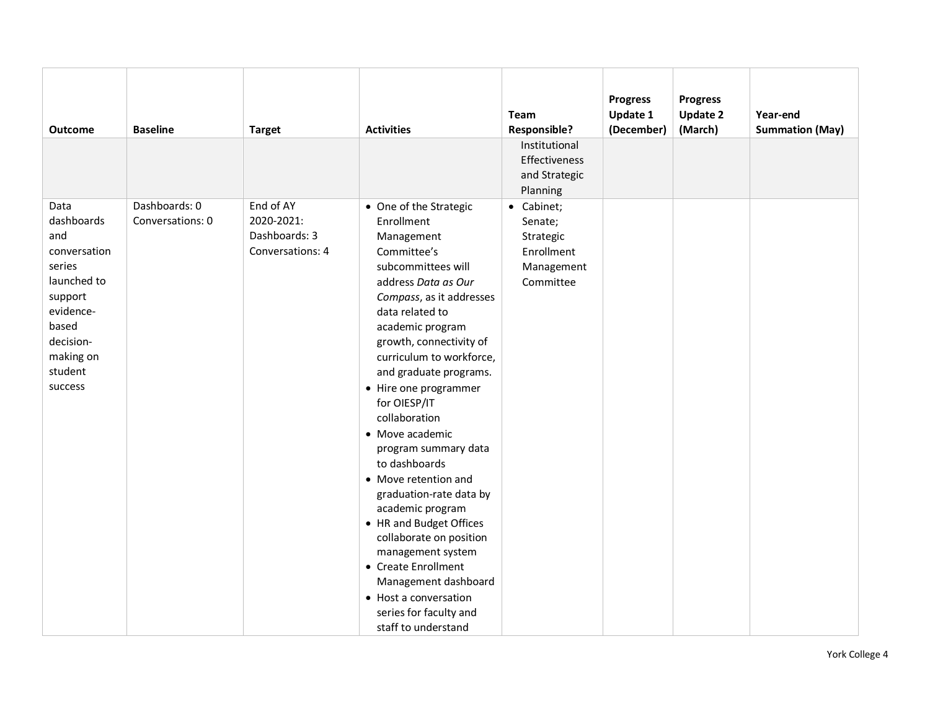| <b>Baseline</b><br><b>Outcome</b><br><b>Target</b>                                                                                                                                                                                                       | <b>Activities</b>                                                                                                                                                                                                                                                                                                                                                                                                                                                                                                                                                                                                                                                   | <b>Team</b><br><b>Responsible?</b><br>Institutional                         | <b>Progress</b><br><b>Update 1</b><br>(December) | <b>Progress</b><br><b>Update 2</b><br>(March) | Year-end<br><b>Summation (May)</b> |
|----------------------------------------------------------------------------------------------------------------------------------------------------------------------------------------------------------------------------------------------------------|---------------------------------------------------------------------------------------------------------------------------------------------------------------------------------------------------------------------------------------------------------------------------------------------------------------------------------------------------------------------------------------------------------------------------------------------------------------------------------------------------------------------------------------------------------------------------------------------------------------------------------------------------------------------|-----------------------------------------------------------------------------|--------------------------------------------------|-----------------------------------------------|------------------------------------|
|                                                                                                                                                                                                                                                          |                                                                                                                                                                                                                                                                                                                                                                                                                                                                                                                                                                                                                                                                     | Effectiveness<br>and Strategic<br>Planning                                  |                                                  |                                               |                                    |
| End of AY<br>Dashboards: 0<br>Data<br>dashboards<br>2020-2021:<br>Conversations: 0<br>Dashboards: 3<br>and<br>Conversations: 4<br>conversation<br>series<br>launched to<br>support<br>evidence-<br>based<br>decision-<br>making on<br>student<br>success | • One of the Strategic<br>Enrollment<br>Management<br>Committee's<br>subcommittees will<br>address Data as Our<br>Compass, as it addresses<br>data related to<br>academic program<br>growth, connectivity of<br>curriculum to workforce,<br>and graduate programs.<br>• Hire one programmer<br>for OIESP/IT<br>collaboration<br>• Move academic<br>program summary data<br>to dashboards<br>• Move retention and<br>graduation-rate data by<br>academic program<br>• HR and Budget Offices<br>collaborate on position<br>management system<br>• Create Enrollment<br>Management dashboard<br>• Host a conversation<br>series for faculty and<br>staff to understand | • Cabinet;<br>Senate;<br>Strategic<br>Enrollment<br>Management<br>Committee |                                                  |                                               |                                    |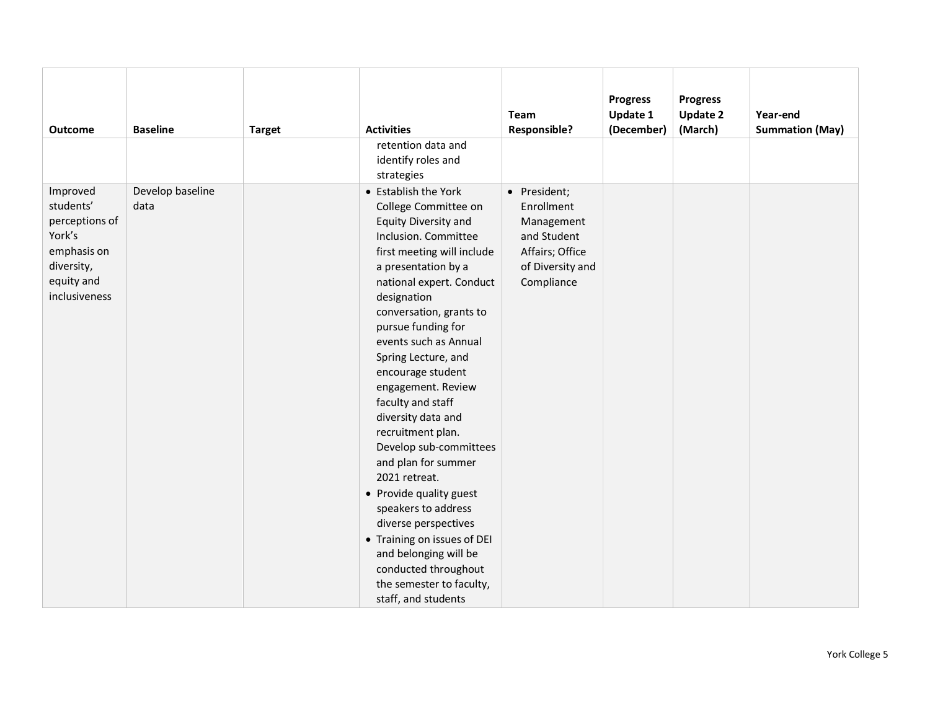|                |                  |               |                             | Team                | <b>Progress</b><br>Update 1 | <b>Progress</b><br><b>Update 2</b> | Year-end               |
|----------------|------------------|---------------|-----------------------------|---------------------|-----------------------------|------------------------------------|------------------------|
| <b>Outcome</b> | <b>Baseline</b>  | <b>Target</b> | <b>Activities</b>           | <b>Responsible?</b> | (December)                  | (March)                            | <b>Summation (May)</b> |
|                |                  |               | retention data and          |                     |                             |                                    |                        |
|                |                  |               | identify roles and          |                     |                             |                                    |                        |
|                |                  |               | strategies                  |                     |                             |                                    |                        |
| Improved       | Develop baseline |               | • Establish the York        | • President;        |                             |                                    |                        |
| students'      | data             |               | College Committee on        | Enrollment          |                             |                                    |                        |
| perceptions of |                  |               | <b>Equity Diversity and</b> | Management          |                             |                                    |                        |
| York's         |                  |               | Inclusion. Committee        | and Student         |                             |                                    |                        |
| emphasis on    |                  |               | first meeting will include  | Affairs; Office     |                             |                                    |                        |
| diversity,     |                  |               | a presentation by a         | of Diversity and    |                             |                                    |                        |
| equity and     |                  |               | national expert. Conduct    | Compliance          |                             |                                    |                        |
| inclusiveness  |                  |               | designation                 |                     |                             |                                    |                        |
|                |                  |               | conversation, grants to     |                     |                             |                                    |                        |
|                |                  |               | pursue funding for          |                     |                             |                                    |                        |
|                |                  |               | events such as Annual       |                     |                             |                                    |                        |
|                |                  |               | Spring Lecture, and         |                     |                             |                                    |                        |
|                |                  |               | encourage student           |                     |                             |                                    |                        |
|                |                  |               | engagement. Review          |                     |                             |                                    |                        |
|                |                  |               | faculty and staff           |                     |                             |                                    |                        |
|                |                  |               | diversity data and          |                     |                             |                                    |                        |
|                |                  |               | recruitment plan.           |                     |                             |                                    |                        |
|                |                  |               | Develop sub-committees      |                     |                             |                                    |                        |
|                |                  |               | and plan for summer         |                     |                             |                                    |                        |
|                |                  |               | 2021 retreat.               |                     |                             |                                    |                        |
|                |                  |               | • Provide quality guest     |                     |                             |                                    |                        |
|                |                  |               | speakers to address         |                     |                             |                                    |                        |
|                |                  |               | diverse perspectives        |                     |                             |                                    |                        |
|                |                  |               | • Training on issues of DEI |                     |                             |                                    |                        |
|                |                  |               | and belonging will be       |                     |                             |                                    |                        |
|                |                  |               | conducted throughout        |                     |                             |                                    |                        |
|                |                  |               | the semester to faculty,    |                     |                             |                                    |                        |
|                |                  |               | staff, and students         |                     |                             |                                    |                        |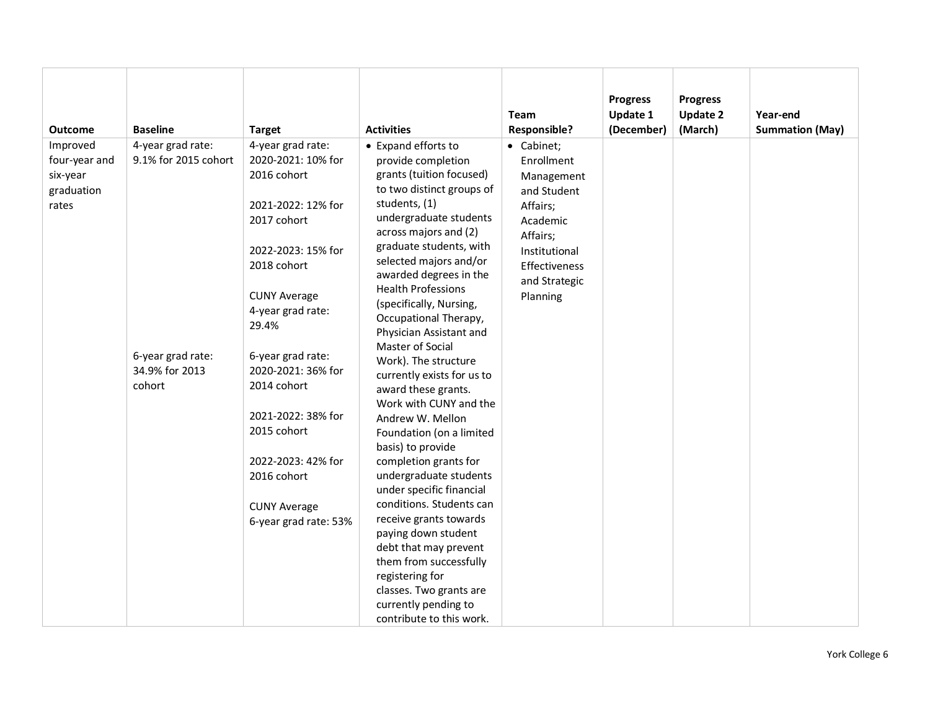|                                                              |                                                                                            |                                                                                                                                                                                                                                                                                                                                                                           |                                                                                                                                                                                                                                                                                                                                                                                                                                                                                                                                                                                                                                                                                                                                                                                                                                                                                    | <b>Team</b>                                                                                                                                              | <b>Progress</b><br><b>Update 1</b> | <b>Progress</b><br><b>Update 2</b> | Year-end               |
|--------------------------------------------------------------|--------------------------------------------------------------------------------------------|---------------------------------------------------------------------------------------------------------------------------------------------------------------------------------------------------------------------------------------------------------------------------------------------------------------------------------------------------------------------------|------------------------------------------------------------------------------------------------------------------------------------------------------------------------------------------------------------------------------------------------------------------------------------------------------------------------------------------------------------------------------------------------------------------------------------------------------------------------------------------------------------------------------------------------------------------------------------------------------------------------------------------------------------------------------------------------------------------------------------------------------------------------------------------------------------------------------------------------------------------------------------|----------------------------------------------------------------------------------------------------------------------------------------------------------|------------------------------------|------------------------------------|------------------------|
| <b>Outcome</b>                                               | <b>Baseline</b>                                                                            | <b>Target</b>                                                                                                                                                                                                                                                                                                                                                             | <b>Activities</b>                                                                                                                                                                                                                                                                                                                                                                                                                                                                                                                                                                                                                                                                                                                                                                                                                                                                  | <b>Responsible?</b>                                                                                                                                      | (December)                         | (March)                            | <b>Summation (May)</b> |
| Improved<br>four-year and<br>six-year<br>graduation<br>rates | 4-year grad rate:<br>9.1% for 2015 cohort<br>6-year grad rate:<br>34.9% for 2013<br>cohort | 4-year grad rate:<br>2020-2021: 10% for<br>2016 cohort<br>2021-2022: 12% for<br>2017 cohort<br>2022-2023: 15% for<br>2018 cohort<br><b>CUNY Average</b><br>4-year grad rate:<br>29.4%<br>6-year grad rate:<br>2020-2021: 36% for<br>2014 cohort<br>2021-2022: 38% for<br>2015 cohort<br>2022-2023: 42% for<br>2016 cohort<br><b>CUNY Average</b><br>6-year grad rate: 53% | • Expand efforts to<br>provide completion<br>grants (tuition focused)<br>to two distinct groups of<br>students, (1)<br>undergraduate students<br>across majors and (2)<br>graduate students, with<br>selected majors and/or<br>awarded degrees in the<br><b>Health Professions</b><br>(specifically, Nursing,<br>Occupational Therapy,<br>Physician Assistant and<br>Master of Social<br>Work). The structure<br>currently exists for us to<br>award these grants.<br>Work with CUNY and the<br>Andrew W. Mellon<br>Foundation (on a limited<br>basis) to provide<br>completion grants for<br>undergraduate students<br>under specific financial<br>conditions. Students can<br>receive grants towards<br>paying down student<br>debt that may prevent<br>them from successfully<br>registering for<br>classes. Two grants are<br>currently pending to<br>contribute to this work. | • Cabinet;<br>Enrollment<br>Management<br>and Student<br>Affairs;<br>Academic<br>Affairs;<br>Institutional<br>Effectiveness<br>and Strategic<br>Planning |                                    |                                    |                        |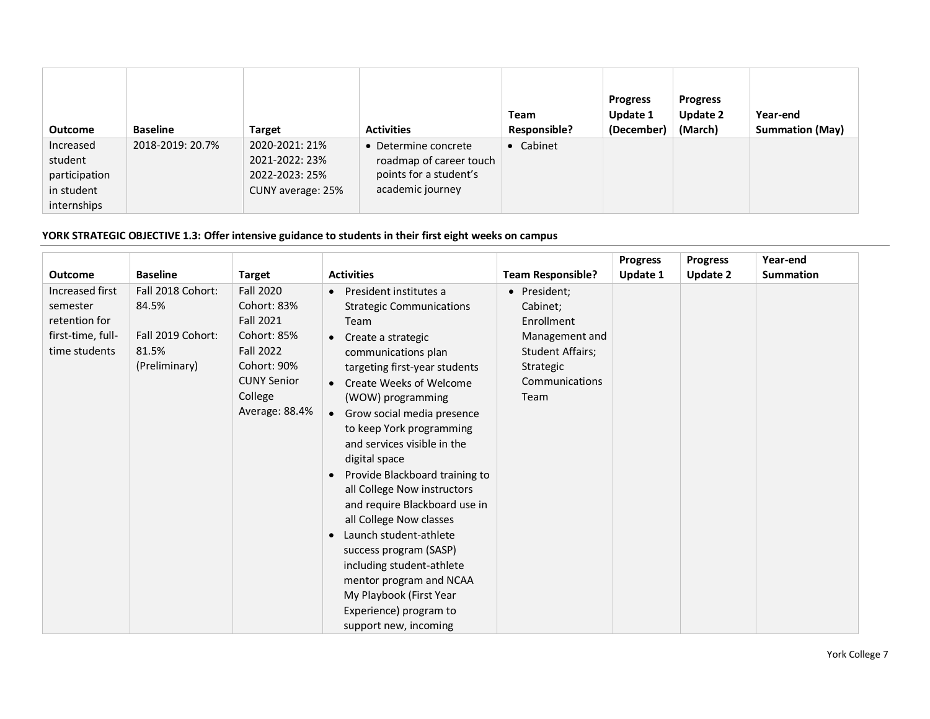| <b>Outcome</b>                                                     | <b>Baseline</b>  | <b>Target</b>                                                           | <b>Activities</b>                                                                             | <b>Team</b><br><b>Responsible?</b> | <b>Progress</b><br>Update 1<br>(December) | <b>Progress</b><br><b>Update 2</b><br>(March) | Year-end<br><b>Summation (May)</b> |
|--------------------------------------------------------------------|------------------|-------------------------------------------------------------------------|-----------------------------------------------------------------------------------------------|------------------------------------|-------------------------------------------|-----------------------------------------------|------------------------------------|
| Increased<br>student<br>participation<br>in student<br>internships | 2018-2019: 20.7% | 2020-2021: 21%<br>2021-2022: 23%<br>2022-2023: 25%<br>CUNY average: 25% | • Determine concrete<br>roadmap of career touch<br>points for a student's<br>academic journey | • Cabinet                          |                                           |                                               |                                    |

# **YORK STRATEGIC OBJECTIVE 1.3: Offer intensive guidance to students in their first eight weeks on campus**

|                   |                   |                    |                                     |                          | <b>Progress</b> | <b>Progress</b> | Year-end         |
|-------------------|-------------------|--------------------|-------------------------------------|--------------------------|-----------------|-----------------|------------------|
| <b>Outcome</b>    | <b>Baseline</b>   | <b>Target</b>      | <b>Activities</b>                   | <b>Team Responsible?</b> | Update 1        | <b>Update 2</b> | <b>Summation</b> |
| Increased first   | Fall 2018 Cohort: | <b>Fall 2020</b>   | President institutes a              | • President;             |                 |                 |                  |
| semester          | 84.5%             | Cohort: 83%        | <b>Strategic Communications</b>     | Cabinet;                 |                 |                 |                  |
| retention for     |                   | <b>Fall 2021</b>   | Team                                | Enrollment               |                 |                 |                  |
| first-time, full- | Fall 2019 Cohort: | Cohort: 85%        | Create a strategic                  | Management and           |                 |                 |                  |
| time students     | 81.5%             | <b>Fall 2022</b>   | communications plan                 | <b>Student Affairs;</b>  |                 |                 |                  |
|                   | (Preliminary)     | Cohort: 90%        | targeting first-year students       | Strategic                |                 |                 |                  |
|                   |                   | <b>CUNY Senior</b> | <b>Create Weeks of Welcome</b>      | Communications           |                 |                 |                  |
|                   |                   | College            | (WOW) programming                   | Team                     |                 |                 |                  |
|                   |                   | Average: 88.4%     | • Grow social media presence        |                          |                 |                 |                  |
|                   |                   |                    | to keep York programming            |                          |                 |                 |                  |
|                   |                   |                    | and services visible in the         |                          |                 |                 |                  |
|                   |                   |                    | digital space                       |                          |                 |                 |                  |
|                   |                   |                    | Provide Blackboard training to      |                          |                 |                 |                  |
|                   |                   |                    | all College Now instructors         |                          |                 |                 |                  |
|                   |                   |                    | and require Blackboard use in       |                          |                 |                 |                  |
|                   |                   |                    | all College Now classes             |                          |                 |                 |                  |
|                   |                   |                    | Launch student-athlete<br>$\bullet$ |                          |                 |                 |                  |
|                   |                   |                    | success program (SASP)              |                          |                 |                 |                  |
|                   |                   |                    | including student-athlete           |                          |                 |                 |                  |
|                   |                   |                    | mentor program and NCAA             |                          |                 |                 |                  |
|                   |                   |                    | My Playbook (First Year             |                          |                 |                 |                  |
|                   |                   |                    | Experience) program to              |                          |                 |                 |                  |
|                   |                   |                    | support new, incoming               |                          |                 |                 |                  |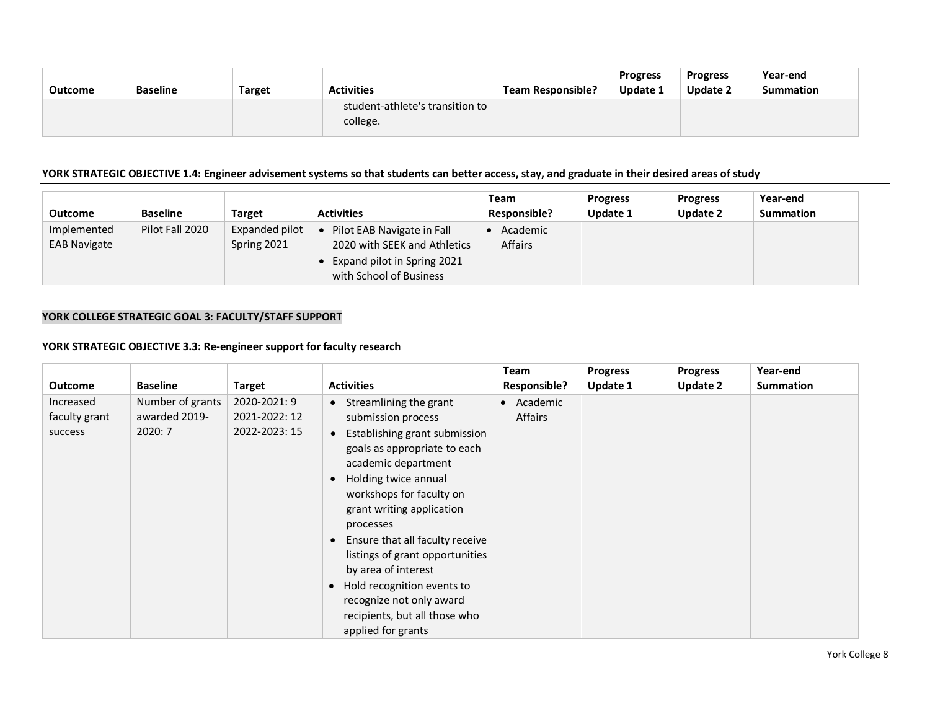|                |                 |               |                                             |                          | <b>Progress</b> | <b>Progress</b> | Year-end  |
|----------------|-----------------|---------------|---------------------------------------------|--------------------------|-----------------|-----------------|-----------|
| <b>Outcome</b> | <b>Baseline</b> | <b>Target</b> | <b>Activities</b>                           | <b>Team Responsible?</b> | Update 1        | Update 2        | Summation |
|                |                 |               | student-athlete's transition to<br>college. |                          |                 |                 |           |

#### **YORK STRATEGIC OBJECTIVE 1.4: Engineer advisement systems so that students can better access, stay, and graduate in their desired areas of study**

| <b>Outcome</b>                     | <b>Baseline</b> | <b>Target</b>                 | <b>Activities</b>                                                                                                    | Team<br><b>Responsible?</b> | <b>Progress</b><br><b>Update 1</b> | <b>Progress</b><br><b>Update 2</b> | Year-end<br>Summation |
|------------------------------------|-----------------|-------------------------------|----------------------------------------------------------------------------------------------------------------------|-----------------------------|------------------------------------|------------------------------------|-----------------------|
| Implemented<br><b>EAB Navigate</b> | Pilot Fall 2020 | Expanded pilot<br>Spring 2021 | Pilot EAB Navigate in Fall<br>2020 with SEEK and Athletics<br>Expand pilot in Spring 2021<br>with School of Business | Academic<br><b>Affairs</b>  |                                    |                                    |                       |

## **YORK COLLEGE STRATEGIC GOAL 3: FACULTY/STAFF SUPPORT**

### **YORK STRATEGIC OBJECTIVE 3.3: Re-engineer support for faculty research**

|                |                  |               |                                              | <b>Team</b>           | <b>Progress</b> | <b>Progress</b> | Year-end         |
|----------------|------------------|---------------|----------------------------------------------|-----------------------|-----------------|-----------------|------------------|
| <b>Outcome</b> | <b>Baseline</b>  | <b>Target</b> | <b>Activities</b>                            | <b>Responsible?</b>   | Update 1        | <b>Update 2</b> | <b>Summation</b> |
| Increased      | Number of grants | 2020-2021: 9  | Streamlining the grant<br>$\bullet$          | Academic<br>$\bullet$ |                 |                 |                  |
| faculty grant  | awarded 2019-    | 2021-2022: 12 | submission process                           | Affairs               |                 |                 |                  |
| success        | 2020:7           | 2022-2023: 15 | Establishing grant submission<br>$\bullet$   |                       |                 |                 |                  |
|                |                  |               | goals as appropriate to each                 |                       |                 |                 |                  |
|                |                  |               | academic department                          |                       |                 |                 |                  |
|                |                  |               | Holding twice annual                         |                       |                 |                 |                  |
|                |                  |               | workshops for faculty on                     |                       |                 |                 |                  |
|                |                  |               | grant writing application                    |                       |                 |                 |                  |
|                |                  |               | processes                                    |                       |                 |                 |                  |
|                |                  |               | Ensure that all faculty receive<br>$\bullet$ |                       |                 |                 |                  |
|                |                  |               | listings of grant opportunities              |                       |                 |                 |                  |
|                |                  |               | by area of interest                          |                       |                 |                 |                  |
|                |                  |               | Hold recognition events to                   |                       |                 |                 |                  |
|                |                  |               | recognize not only award                     |                       |                 |                 |                  |
|                |                  |               | recipients, but all those who                |                       |                 |                 |                  |
|                |                  |               | applied for grants                           |                       |                 |                 |                  |